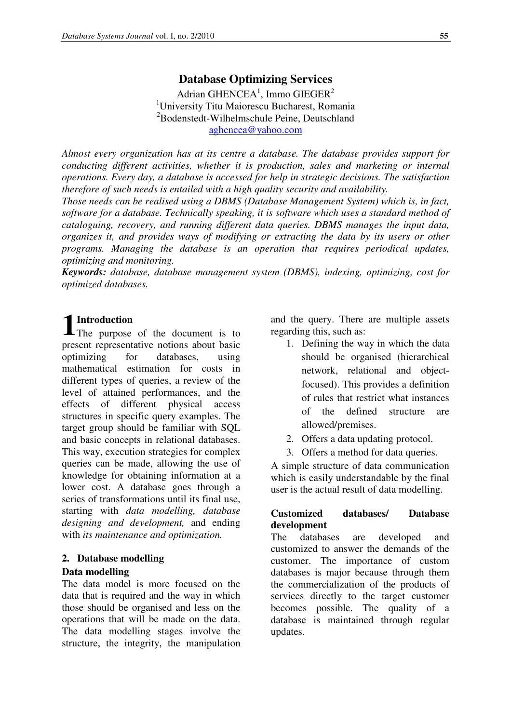Adrian GHENCEA<sup>1</sup>, Immo GIEGER<sup>2</sup> <sup>1</sup>University Titu Maiorescu Bucharest, Romania <sup>2</sup>Bodenstedt-Wilhelmschule Peine, Deutschland aghencea@yahoo.com

*Almost every organization has at its centre a database. The database provides support for conducting different activities, whether it is production, sales and marketing or internal operations. Every day, a database is accessed for help in strategic decisions. The satisfaction therefore of such needs is entailed with a high quality security and availability.* 

*Those needs can be realised using a DBMS (Database Management System) which is, in fact, software for a database. Technically speaking, it is software which uses a standard method of cataloguing, recovery, and running different data queries. DBMS manages the input data, organizes it, and provides ways of modifying or extracting the data by its users or other programs. Managing the database is an operation that requires periodical updates, optimizing and monitoring.* 

*Keywords: database, database management system (DBMS), indexing, optimizing, cost for optimized databases.* 

**1** Introduction The purpose The purpose of the document is to present representative notions about basic optimizing for databases, using mathematical estimation for costs in different types of queries, a review of the level of attained performances, and the effects of different physical access structures in specific query examples. The target group should be familiar with SQL and basic concepts in relational databases. This way, execution strategies for complex queries can be made, allowing the use of knowledge for obtaining information at a lower cost. A database goes through a series of transformations until its final use, starting with *data modelling, database designing and development,* and ending with *its maintenance and optimization.* 

#### **2. Database modelling**

#### **Data modelling**

The data model is more focused on the data that is required and the way in which those should be organised and less on the operations that will be made on the data. The data modelling stages involve the structure, the integrity, the manipulation

and the query. There are multiple assets regarding this, such as:

- 1. Defining the way in which the data should be organised (hierarchical network, relational and objectfocused). This provides a definition of rules that restrict what instances of the defined structure are allowed/premises.
- 2. Offers a data updating protocol.
- 3. Offers a method for data queries.

A simple structure of data communication which is easily understandable by the final user is the actual result of data modelling.

#### **Customized databases/ Database development**

The databases are developed and customized to answer the demands of the customer. The importance of custom databases is major because through them the commercialization of the products of services directly to the target customer becomes possible. The quality of a database is maintained through regular updates.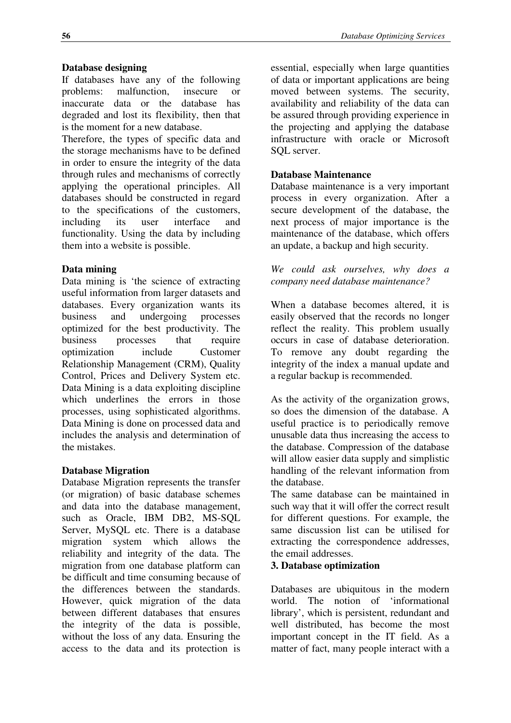## **Database designing**

If databases have any of the following problems: malfunction, insecure or inaccurate data or the database has degraded and lost its flexibility, then that is the moment for a new database.

Therefore, the types of specific data and the storage mechanisms have to be defined in order to ensure the integrity of the data through rules and mechanisms of correctly applying the operational principles. All databases should be constructed in regard to the specifications of the customers, including its user interface and functionality. Using the data by including them into a website is possible.

## **Data mining**

Data mining is 'the science of extracting useful information from larger datasets and databases. Every organization wants its business and undergoing processes optimized for the best productivity. The business processes that require optimization include Customer Relationship Management (CRM), Quality Control, Prices and Delivery System etc. Data Mining is a data exploiting discipline which underlines the errors in those processes, using sophisticated algorithms. Data Mining is done on processed data and includes the analysis and determination of the mistakes.

#### **Database Migration**

Database Migration represents the transfer (or migration) of basic database schemes and data into the database management, such as Oracle, IBM DB2, MS-SQL Server, MySQL etc. There is a database migration system which allows the reliability and integrity of the data. The migration from one database platform can be difficult and time consuming because of the differences between the standards. However, quick migration of the data between different databases that ensures the integrity of the data is possible, without the loss of any data. Ensuring the access to the data and its protection is

essential, especially when large quantities of data or important applications are being moved between systems. The security, availability and reliability of the data can be assured through providing experience in the projecting and applying the database infrastructure with oracle or Microsoft SQL server.

#### **Database Maintenance**

Database maintenance is a very important process in every organization. After a secure development of the database, the next process of major importance is the maintenance of the database, which offers an update, a backup and high security.

*We could ask ourselves, why does a company need database maintenance?* 

When a database becomes altered, it is easily observed that the records no longer reflect the reality. This problem usually occurs in case of database deterioration. To remove any doubt regarding the integrity of the index a manual update and a regular backup is recommended.

As the activity of the organization grows, so does the dimension of the database. A useful practice is to periodically remove unusable data thus increasing the access to the database. Compression of the database will allow easier data supply and simplistic handling of the relevant information from the database.

The same database can be maintained in such way that it will offer the correct result for different questions. For example, the same discussion list can be utilised for extracting the correspondence addresses, the email addresses.

# **3. Database optimization**

Databases are ubiquitous in the modern world. The notion of 'informational library', which is persistent, redundant and well distributed, has become the most important concept in the IT field. As a matter of fact, many people interact with a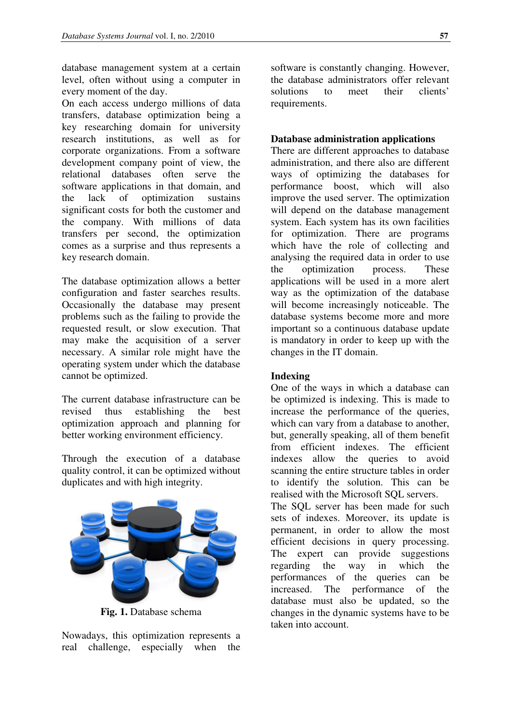database management system at a certain level, often without using a computer in every moment of the day.

On each access undergo millions of data transfers, database optimization being a key researching domain for university research institutions, as well as for corporate organizations. From a software development company point of view, the relational databases often serve the software applications in that domain, and the lack of optimization sustains significant costs for both the customer and the company. With millions of data transfers per second, the optimization comes as a surprise and thus represents a key research domain.

The database optimization allows a better configuration and faster searches results. Occasionally the database may present problems such as the failing to provide the requested result, or slow execution. That may make the acquisition of a server necessary. A similar role might have the operating system under which the database cannot be optimized.

The current database infrastructure can be revised thus establishing the best optimization approach and planning for better working environment efficiency.

Through the execution of a database quality control, it can be optimized without duplicates and with high integrity.



**Fig. 1.** Database schema

Nowadays, this optimization represents a real challenge, especially when the

software is constantly changing. However, the database administrators offer relevant solutions to meet their clients' requirements.

#### **Database administration applications**

There are different approaches to database administration, and there also are different ways of optimizing the databases for performance boost, which will also improve the used server. The optimization will depend on the database management system. Each system has its own facilities for optimization. There are programs which have the role of collecting and analysing the required data in order to use the optimization process. These applications will be used in a more alert way as the optimization of the database will become increasingly noticeable. The database systems become more and more important so a continuous database update is mandatory in order to keep up with the changes in the IT domain.

#### **Indexing**

One of the ways in which a database can be optimized is indexing. This is made to increase the performance of the queries, which can vary from a database to another, but, generally speaking, all of them benefit from efficient indexes. The efficient indexes allow the queries to avoid scanning the entire structure tables in order to identify the solution. This can be realised with the Microsoft SQL servers.

The SQL server has been made for such sets of indexes. Moreover, its update is permanent, in order to allow the most efficient decisions in query processing. The expert can provide suggestions regarding the way in which the performances of the queries can be increased. The performance of the database must also be updated, so the changes in the dynamic systems have to be taken into account.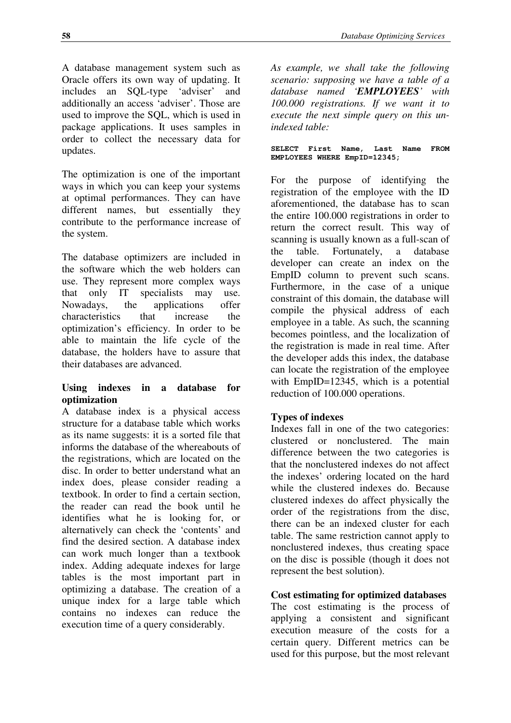A database management system such as Oracle offers its own way of updating. It<br>includes an SOL-type 'adviser' and includes an SQL-type 'adviser' and additionally an access 'adviser'. Those are used to improve the SQL, which is used in package applications. It uses samples in order to collect the necessary data for updates.

The optimization is one of the important ways in which you can keep your systems at optimal performances. They can have different names, but essentially they contribute to the performance increase of the system.

The database optimizers are included in the software which the web holders can use. They represent more complex ways that only IT specialists may use. Nowadays, the applications offer characteristics that increase the optimization's efficiency. In order to be able to maintain the life cycle of the database, the holders have to assure that their databases are advanced.

## **Using indexes in a database for optimization**

A database index is a physical access structure for a database table which works as its name suggests: it is a sorted file that informs the database of the whereabouts of the registrations, which are located on the disc. In order to better understand what an index does, please consider reading a textbook. In order to find a certain section, the reader can read the book until he identifies what he is looking for, or alternatively can check the 'contents' and find the desired section. A database index can work much longer than a textbook index. Adding adequate indexes for large tables is the most important part in optimizing a database. The creation of a unique index for a large table which contains no indexes can reduce the execution time of a query considerably.

*As example, we shall take the following scenario: supposing we have a table of a database named 'EMPLOYEES' with 100.000 registrations. If we want it to execute the next simple query on this unindexed table:* 

#### **SELECT First Name, Last Name FROM EMPLOYEES WHERE EmpID=12345;**

For the purpose of identifying the registration of the employee with the ID aforementioned, the database has to scan the entire 100.000 registrations in order to return the correct result. This way of scanning is usually known as a full-scan of the table. Fortunately, a database developer can create an index on the EmpID column to prevent such scans. Furthermore, in the case of a unique constraint of this domain, the database will compile the physical address of each employee in a table. As such, the scanning becomes pointless, and the localization of the registration is made in real time. After the developer adds this index, the database can locate the registration of the employee with EmpID=12345, which is a potential reduction of 100.000 operations.

# **Types of indexes**

Indexes fall in one of the two categories: clustered or nonclustered. The main difference between the two categories is that the nonclustered indexes do not affect the indexes' ordering located on the hard while the clustered indexes do. Because clustered indexes do affect physically the order of the registrations from the disc, there can be an indexed cluster for each table. The same restriction cannot apply to nonclustered indexes, thus creating space on the disc is possible (though it does not represent the best solution).

# **Cost estimating for optimized databases**

The cost estimating is the process of applying a consistent and significant execution measure of the costs for a certain query. Different metrics can be used for this purpose, but the most relevant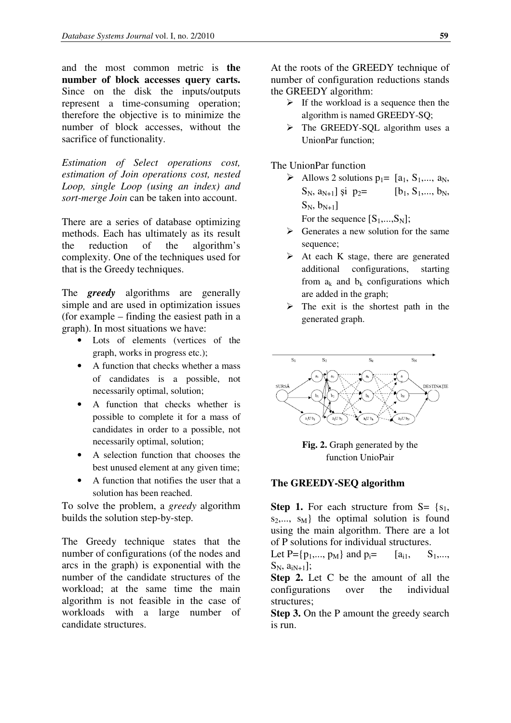and the most common metric is **the number of block accesses query carts.**  Since on the disk the inputs/outputs represent a time-consuming operation; therefore the objective is to minimize the number of block accesses, without the sacrifice of functionality.

*Estimation of Select operations cost, estimation of Join operations cost, nested Loop, single Loop (using an index) and sort-merge Join* can be taken into account.

There are a series of database optimizing methods. Each has ultimately as its result the reduction of the algorithm's complexity. One of the techniques used for that is the Greedy techniques.

The *greedy* algorithms are generally simple and are used in optimization issues (for example – finding the easiest path in a graph). In most situations we have:

- Lots of elements (vertices of the graph, works in progress etc.);
- A function that checks whether a mass of candidates is a possible, not necessarily optimal, solution;
- A function that checks whether is possible to complete it for a mass of candidates in order to a possible, not necessarily optimal, solution;
- A selection function that chooses the best unused element at any given time;
- A function that notifies the user that a solution has been reached.

To solve the problem, a *greedy* algorithm builds the solution step-by-step.

The Greedy technique states that the number of configurations (of the nodes and arcs in the graph) is exponential with the number of the candidate structures of the workload; at the same time the main algorithm is not feasible in the case of workloads with a large number of candidate structures.

At the roots of the GREEDY technique of number of configuration reductions stands the GREEDY algorithm:

- $\triangleright$  If the workload is a sequence then the algorithm is named GREEDY-SQ;
- $\triangleright$  The GREEDY-SOL algorithm uses a UnionPar function;

The UnionPar function

- Allows 2 solutions  $p_1 = [a_1, S_1, \ldots, a_N]$  $S_N$ ,  $a_{N+1}$ ] și  $p_2$ = [b<sub>1</sub>,  $S_1$ ,..., b<sub>N</sub>,  $S_N, b_{N+1}]$ For the sequence  $[S_1,...,S_N]$ ;
- $\triangleright$  Generates a new solution for the same sequence:
- $\triangleright$  At each K stage, there are generated additional configurations, starting from  $a_k$  and  $b_k$  configurations which are added in the graph;
- $\triangleright$  The exit is the shortest path in the generated graph.



**Fig. 2.** Graph generated by the function UnioPair

#### **The GREEDY-SEQ algorithm**

**Step 1.** For each structure from  $S = \{s_1,$  $s_2,..., s_M$  the optimal solution is found using the main algorithm. There are a lot of P solutions for individual structures.

Let P={ $p_1$ ,...,  $p_M$ } and  $p_i$ =  $[a_{i1}, S_1$ ,...,  $S_N$ ,  $a_{iN+1}$ ];

**Step 2.** Let C be the amount of all the configurations over the individual structures;

**Step 3.** On the P amount the greedy search is run.